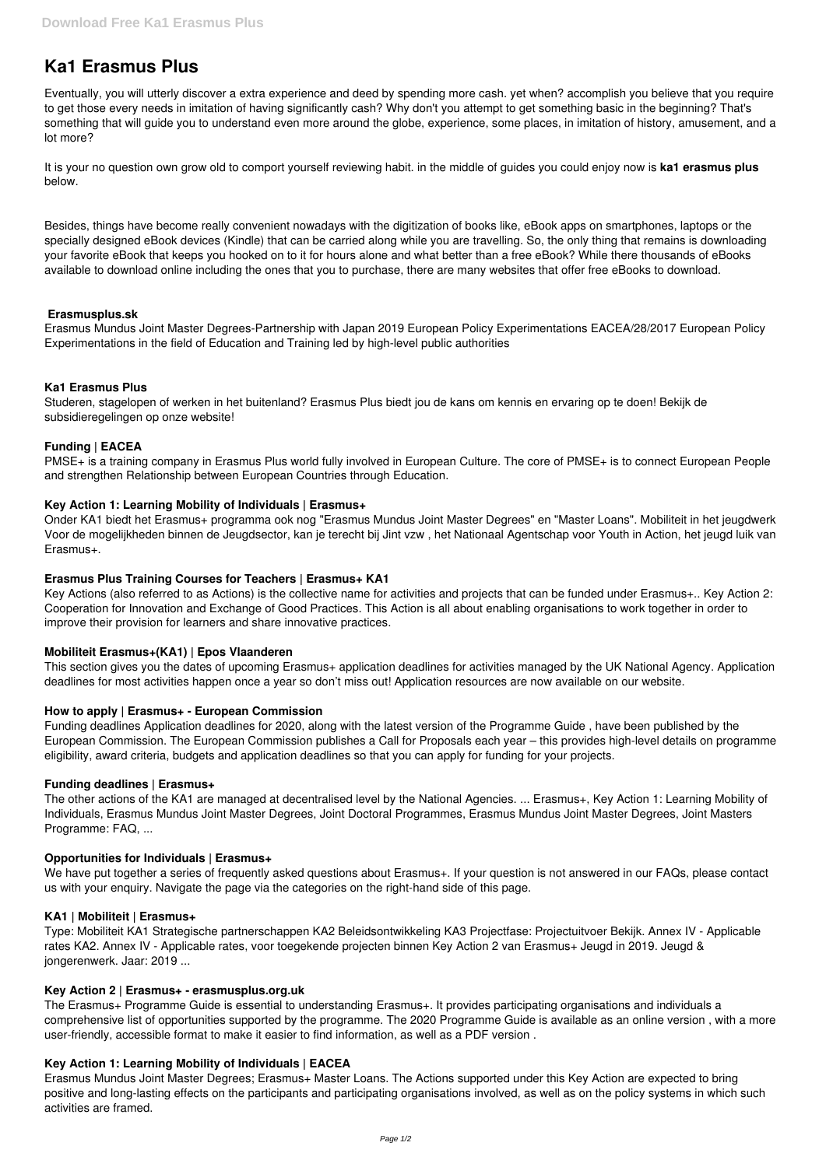# **Ka1 Erasmus Plus**

Eventually, you will utterly discover a extra experience and deed by spending more cash. yet when? accomplish you believe that you require to get those every needs in imitation of having significantly cash? Why don't you attempt to get something basic in the beginning? That's something that will guide you to understand even more around the globe, experience, some places, in imitation of history, amusement, and a lot more?

It is your no question own grow old to comport yourself reviewing habit. in the middle of guides you could enjoy now is **ka1 erasmus plus** below.

Besides, things have become really convenient nowadays with the digitization of books like, eBook apps on smartphones, laptops or the specially designed eBook devices (Kindle) that can be carried along while you are travelling. So, the only thing that remains is downloading your favorite eBook that keeps you hooked on to it for hours alone and what better than a free eBook? While there thousands of eBooks available to download online including the ones that you to purchase, there are many websites that offer free eBooks to download.

# **Erasmusplus.sk**

Erasmus Mundus Joint Master Degrees-Partnership with Japan 2019 European Policy Experimentations EACEA/28/2017 European Policy Experimentations in the field of Education and Training led by high-level public authorities

# **Ka1 Erasmus Plus**

Studeren, stagelopen of werken in het buitenland? Erasmus Plus biedt jou de kans om kennis en ervaring op te doen! Bekijk de subsidieregelingen op onze website!

# **Funding | EACEA**

PMSE+ is a training company in Erasmus Plus world fully involved in European Culture. The core of PMSE+ is to connect European People and strengthen Relationship between European Countries through Education.

#### **Key Action 1: Learning Mobility of Individuals | Erasmus+**

Onder KA1 biedt het Erasmus+ programma ook nog "Erasmus Mundus Joint Master Degrees" en "Master Loans". Mobiliteit in het jeugdwerk Voor de mogelijkheden binnen de Jeugdsector, kan je terecht bij Jint vzw , het Nationaal Agentschap voor Youth in Action, het jeugd luik van Erasmus+.

#### **Erasmus Plus Training Courses for Teachers | Erasmus+ KA1**

Key Actions (also referred to as Actions) is the collective name for activities and projects that can be funded under Erasmus+.. Key Action 2: Cooperation for Innovation and Exchange of Good Practices. This Action is all about enabling organisations to work together in order to improve their provision for learners and share innovative practices.

# **Mobiliteit Erasmus+(KA1) | Epos Vlaanderen**

This section gives you the dates of upcoming Erasmus+ application deadlines for activities managed by the UK National Agency. Application deadlines for most activities happen once a year so don't miss out! Application resources are now available on our website.

#### **How to apply | Erasmus+ - European Commission**

Funding deadlines Application deadlines for 2020, along with the latest version of the Programme Guide , have been published by the European Commission. The European Commission publishes a Call for Proposals each year – this provides high-level details on programme eligibility, award criteria, budgets and application deadlines so that you can apply for funding for your projects.

#### **Funding deadlines | Erasmus+**

The other actions of the KA1 are managed at decentralised level by the National Agencies. ... Erasmus+, Key Action 1: Learning Mobility of Individuals, Erasmus Mundus Joint Master Degrees, Joint Doctoral Programmes, Erasmus Mundus Joint Master Degrees, Joint Masters Programme: FAQ, ...

#### **Opportunities for Individuals | Erasmus+**

We have put together a series of frequently asked questions about Erasmus+. If your question is not answered in our FAQs, please contact

us with your enquiry. Navigate the page via the categories on the right-hand side of this page.

#### **KA1 | Mobiliteit | Erasmus+**

Type: Mobiliteit KA1 Strategische partnerschappen KA2 Beleidsontwikkeling KA3 Projectfase: Projectuitvoer Bekijk. Annex IV - Applicable rates KA2. Annex IV - Applicable rates, voor toegekende projecten binnen Key Action 2 van Erasmus+ Jeugd in 2019. Jeugd & jongerenwerk. Jaar: 2019 ...

#### **Key Action 2 | Erasmus+ - erasmusplus.org.uk**

The Erasmus+ Programme Guide is essential to understanding Erasmus+. It provides participating organisations and individuals a comprehensive list of opportunities supported by the programme. The 2020 Programme Guide is available as an online version , with a more user-friendly, accessible format to make it easier to find information, as well as a PDF version .

# **Key Action 1: Learning Mobility of Individuals | EACEA**

Erasmus Mundus Joint Master Degrees; Erasmus+ Master Loans. The Actions supported under this Key Action are expected to bring positive and long-lasting effects on the participants and participating organisations involved, as well as on the policy systems in which such activities are framed.